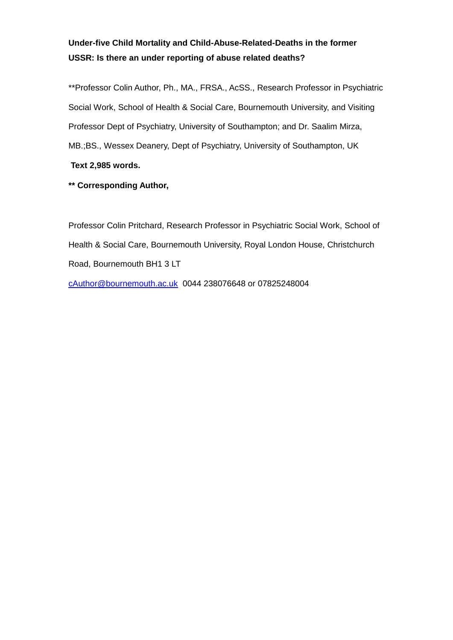# **Under-five Child Mortality and Child-Abuse-Related-Deaths in the former USSR: Is there an under reporting of abuse related deaths?**

\*\*Professor Colin Author, Ph., MA., FRSA., AcSS., Research Professor in Psychiatric Social Work, School of Health & Social Care, Bournemouth University, and Visiting Professor Dept of Psychiatry, University of Southampton; and Dr. Saalim Mirza, MB.;BS., Wessex Deanery, Dept of Psychiatry, University of Southampton, UK **Text 2,985 words.**

**\*\* Corresponding Author,**

Professor Colin Pritchard, Research Professor in Psychiatric Social Work, School of Health & Social Care, Bournemouth University, Royal London House, Christchurch Road, Bournemouth BH1 3 LT

cAuthor@bournemouth.ac.uk 0044 238076648 or 07825248004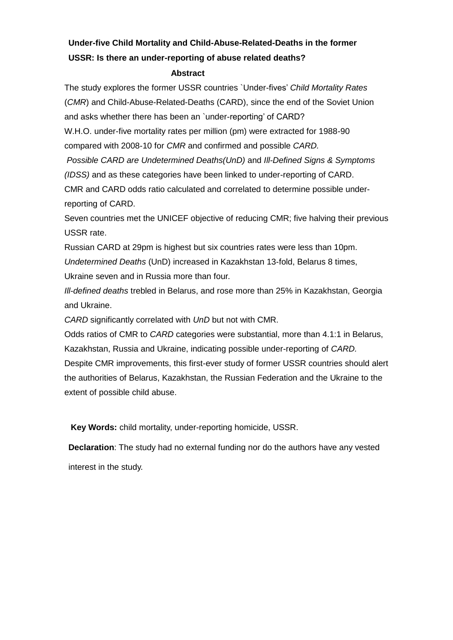# **Under-five Child Mortality and Child-Abuse-Related-Deaths in the former USSR: Is there an under-reporting of abuse related deaths?**

## **Abstract**

The study explores the former USSR countries `Under-fives' *Child Mortality Rates* (*CMR*) and Child-Abuse-Related-Deaths (CARD), since the end of the Soviet Union and asks whether there has been an `under-reporting' of CARD?

W.H.O. under-five mortality rates per million (pm) were extracted for 1988-90 compared with 2008-10 for *CMR* and confirmed and possible *CARD.*

*Possible CARD are Undetermined Deaths(UnD)* and *Ill-Defined Signs & Symptoms (IDSS)* and as these categories have been linked to under-reporting of CARD. CMR and CARD odds ratio calculated and correlated to determine possible under-

reporting of CARD.

Seven countries met the UNICEF objective of reducing CMR; five halving their previous USSR rate.

Russian CARD at 29pm is highest but six countries rates were less than 10pm. *Undetermined Deaths* (UnD) increased in Kazakhstan 13-fold, Belarus 8 times, Ukraine seven and in Russia more than four.

*Ill-defined deaths* trebled in Belarus, and rose more than 25% in Kazakhstan, Georgia and Ukraine.

*CARD* significantly correlated with *UnD* but not with CMR.

Odds ratios of CMR to *CARD* categories were substantial, more than 4.1:1 in Belarus, Kazakhstan, Russia and Ukraine, indicating possible under-reporting of *CARD.* Despite CMR improvements, this first-ever study of former USSR countries should alert the authorities of Belarus, Kazakhstan, the Russian Federation and the Ukraine to the extent of possible child abuse.

**Key Words:** child mortality, under-reporting homicide, USSR.

**Declaration**: The study had no external funding nor do the authors have any vested

interest in the study.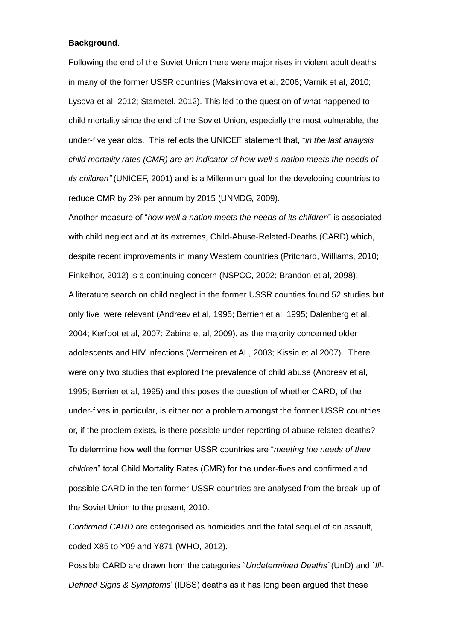### **Background**.

Following the end of the Soviet Union there were major rises in violent adult deaths in many of the former USSR countries (Maksimova et al, 2006; Varnik et al, 2010; Lysova et al, 2012; Stametel, 2012). This led to the question of what happened to child mortality since the end of the Soviet Union, especially the most vulnerable, the under-five year olds. This reflects the UNICEF statement that, "*in the last analysis child mortality rates (CMR) are an indicator of how well a nation meets the needs of its children"* (UNICEF, 2001) and is a Millennium goal for the developing countries to reduce CMR by 2% per annum by 2015 (UNMDG, 2009).

Another measure of "*how well a nation meets the needs of its children*" is associated with child neglect and at its extremes, Child-Abuse-Related-Deaths (CARD) which, despite recent improvements in many Western countries (Pritchard, Williams, 2010; Finkelhor, 2012) is a continuing concern (NSPCC, 2002; Brandon et al, 2098). A literature search on child neglect in the former USSR counties found 52 studies but only five were relevant (Andreev et al, 1995; Berrien et al, 1995; Dalenberg et al, 2004; Kerfoot et al, 2007; Zabina et al, 2009), as the majority concerned older adolescents and HIV infections (Vermeiren et AL, 2003; Kissin et al 2007). There were only two studies that explored the prevalence of child abuse (Andreev et al, 1995; Berrien et al, 1995) and this poses the question of whether CARD, of the under-fives in particular, is either not a problem amongst the former USSR countries or, if the problem exists, is there possible under-reporting of abuse related deaths? To determine how well the former USSR countries are "*meeting the needs of their children*" total Child Mortality Rates (CMR) for the under-fives and confirmed and possible CARD in the ten former USSR countries are analysed from the break-up of the Soviet Union to the present, 2010.

*Confirmed CARD* are categorised as homicides and the fatal sequel of an assault, coded X85 to Y09 and Y871 (WHO, 2012).

Possible CARD are drawn from the categories `*Undetermined Deaths'* (UnD) and *`Ill-Defined Signs & Symptoms*' (IDSS) deaths as it has long been argued that these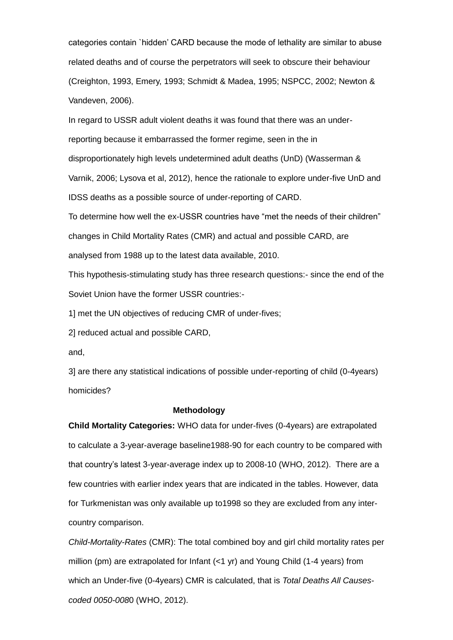categories contain `hidden' CARD because the mode of lethality are similar to abuse related deaths and of course the perpetrators will seek to obscure their behaviour (Creighton, 1993, Emery, 1993; Schmidt & Madea, 1995; NSPCC, 2002; Newton & Vandeven, 2006).

In regard to USSR adult violent deaths it was found that there was an underreporting because it embarrassed the former regime, seen in the in disproportionately high levels undetermined adult deaths (UnD) (Wasserman & Varnik, 2006; Lysova et al, 2012), hence the rationale to explore under-five UnD and IDSS deaths as a possible source of under-reporting of CARD.

To determine how well the ex-USSR countries have "met the needs of their children" changes in Child Mortality Rates (CMR) and actual and possible CARD, are analysed from 1988 up to the latest data available, 2010.

This hypothesis-stimulating study has three research questions:- since the end of the Soviet Union have the former USSR countries:-

1] met the UN objectives of reducing CMR of under-fives;

2] reduced actual and possible CARD,

and,

3] are there any statistical indications of possible under-reporting of child (0-4years) homicides?

## **Methodology**

**Child Mortality Categories:** WHO data for under-fives (0-4years) are extrapolated to calculate a 3-year-average baseline1988-90 for each country to be compared with that country's latest 3-year-average index up to 2008-10 (WHO, 2012). There are a few countries with earlier index years that are indicated in the tables. However, data for Turkmenistan was only available up to1998 so they are excluded from any intercountry comparison.

*Child-Mortality-Rates* (CMR): The total combined boy and girl child mortality rates per million (pm) are extrapolated for Infant (<1 yr) and Young Child (1-4 years) from which an Under-five (0-4years) CMR is calculated, that is *Total Deaths All Causescoded 0050-008*0 (WHO, 2012).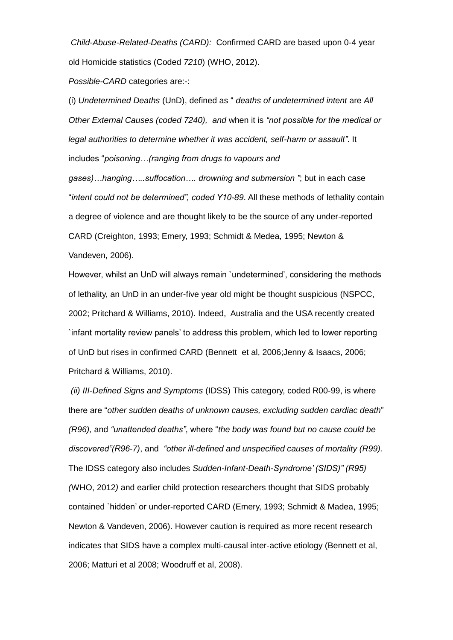*Child-Abuse-Related-Deaths (CARD):* Confirmed CARD are based upon 0-4 year old Homicide statistics (Coded *7210*) (WHO, 2012).

*Possible-CARD* categories are:-:

(i) *Undetermined Deaths* (UnD), defined as " *deaths of undetermined intent* are *All Other External Causes (coded 7240), and* when it is *"not possible for the medical or legal authorities to determine whether it was accident, self-harm or assault"*. It includes "*poisoning…(ranging from drugs to vapours and* 

*gases)…hanging…..suffocation…. drowning and submersion "*; but in each case "*intent could not be determined", coded Y10-89*. All these methods of lethality contain a degree of violence and are thought likely to be the source of any under-reported CARD (Creighton, 1993; Emery, 1993; Schmidt & Medea, 1995; Newton & Vandeven, 2006).

However, whilst an UnD will always remain `undetermined', considering the methods of lethality, an UnD in an under-five year old might be thought suspicious (NSPCC, 2002; Pritchard & Williams, 2010). Indeed, Australia and the USA recently created `infant mortality review panels' to address this problem, which led to lower reporting of UnD but rises in confirmed CARD (Bennett et al, 2006;Jenny & Isaacs, 2006; Pritchard & Williams, 2010).

*(ii) III-Defined Signs and Symptoms* (IDSS) This category, coded R00-99, is where there are "*other sudden deaths of unknown causes, excluding sudden cardiac death*" *(R96),* and *"unattended deaths"*, where "*the body was found but no cause could be discovered"(R96-7)*, and *"other ill-defined and unspecified causes of mortality (R99).*  The IDSS category also includes *Sudden-Infant-Death-Syndrome' (SIDS)" (R95) (*WHO, 2012*)* and earlier child protection researchers thought that SIDS probably contained `hidden' or under-reported CARD (Emery, 1993; Schmidt & Madea, 1995; Newton & Vandeven, 2006). However caution is required as more recent research indicates that SIDS have a complex multi-causal inter-active etiology (Bennett et al, 2006; Matturi et al 2008; Woodruff et al, 2008).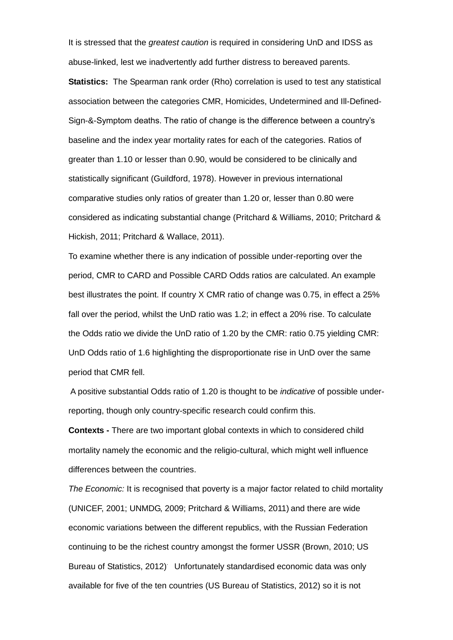It is stressed that the *greatest caution* is required in considering UnD and IDSS as abuse-linked, lest we inadvertently add further distress to bereaved parents.

**Statistics:** The Spearman rank order (Rho) correlation is used to test any statistical association between the categories CMR, Homicides, Undetermined and Ill-Defined-Sign-&-Symptom deaths. The ratio of change is the difference between a country's baseline and the index year mortality rates for each of the categories. Ratios of greater than 1.10 or lesser than 0.90, would be considered to be clinically and statistically significant (Guildford, 1978). However in previous international comparative studies only ratios of greater than 1.20 or, lesser than 0.80 were considered as indicating substantial change (Pritchard & Williams, 2010; Pritchard & Hickish, 2011; Pritchard & Wallace, 2011).

To examine whether there is any indication of possible under-reporting over the period, CMR to CARD and Possible CARD Odds ratios are calculated. An example best illustrates the point. If country X CMR ratio of change was 0.75, in effect a 25% fall over the period, whilst the UnD ratio was 1.2; in effect a 20% rise. To calculate the Odds ratio we divide the UnD ratio of 1.20 by the CMR: ratio 0.75 yielding CMR: UnD Odds ratio of 1.6 highlighting the disproportionate rise in UnD over the same period that CMR fell.

A positive substantial Odds ratio of 1.20 is thought to be *indicative* of possible underreporting, though only country-specific research could confirm this.

**Contexts -** There are two important global contexts in which to considered child mortality namely the economic and the religio-cultural, which might well influence differences between the countries.

*The Economic:* It is recognised that poverty is a major factor related to child mortality (UNICEF, 2001; UNMDG, 2009; Pritchard & Williams, 2011) and there are wide economic variations between the different republics, with the Russian Federation continuing to be the richest country amongst the former USSR (Brown, 2010; US Bureau of Statistics, 2012) Unfortunately standardised economic data was only available for five of the ten countries (US Bureau of Statistics, 2012) so it is not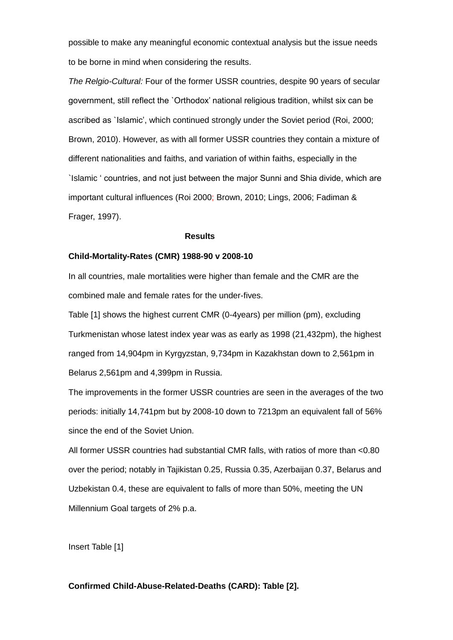possible to make any meaningful economic contextual analysis but the issue needs to be borne in mind when considering the results.

*The Relgio-Cultural:* Four of the former USSR countries, despite 90 years of secular government, still reflect the `Orthodox' national religious tradition, whilst six can be ascribed as `Islamic', which continued strongly under the Soviet period (Roi, 2000; Brown, 2010). However, as with all former USSR countries they contain a mixture of different nationalities and faiths, and variation of within faiths, especially in the `Islamic ' countries, and not just between the major Sunni and Shia divide, which are important cultural influences (Roi 2000; Brown, 2010; Lings, 2006; Fadiman & Frager, 1997).

#### **Results**

### **Child-Mortality-Rates (CMR) 1988-90 v 2008-10**

In all countries, male mortalities were higher than female and the CMR are the combined male and female rates for the under-fives.

Table [1] shows the highest current CMR (0-4years) per million (pm), excluding Turkmenistan whose latest index year was as early as 1998 (21,432pm), the highest ranged from 14,904pm in Kyrgyzstan, 9,734pm in Kazakhstan down to 2,561pm in Belarus 2,561pm and 4,399pm in Russia.

The improvements in the former USSR countries are seen in the averages of the two periods: initially 14,741pm but by 2008-10 down to 7213pm an equivalent fall of 56% since the end of the Soviet Union.

All former USSR countries had substantial CMR falls, with ratios of more than <0.80 over the period; notably in Tajikistan 0.25, Russia 0.35, Azerbaijan 0.37, Belarus and Uzbekistan 0.4, these are equivalent to falls of more than 50%, meeting the UN Millennium Goal targets of 2% p.a.

Insert Table [1]

## **Confirmed Child-Abuse-Related-Deaths (CARD): Table [2].**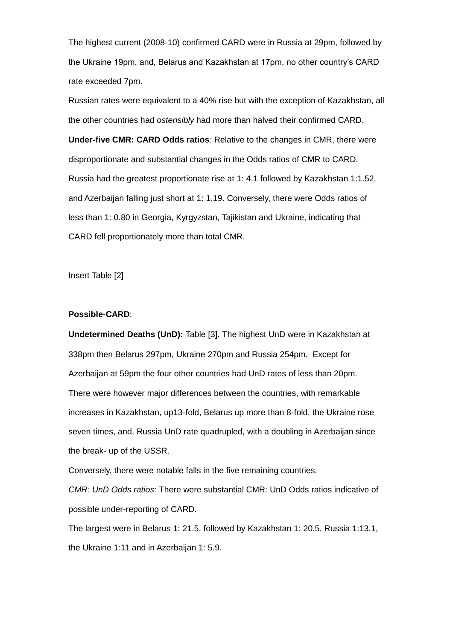The highest current (2008-10) confirmed CARD were in Russia at 29pm, followed by the Ukraine 19pm, and, Belarus and Kazakhstan at 17pm, no other country's CARD rate exceeded 7pm.

Russian rates were equivalent to a 40% rise but with the exception of Kazakhstan, all the other countries had *ostensibly* had more than halved their confirmed CARD. **Under-five CMR: CARD Odds ratios***:* Relative to the changes in CMR, there were disproportionate and substantial changes in the Odds ratios of CMR to CARD. Russia had the greatest proportionate rise at 1: 4.1 followed by Kazakhstan 1:1.52, and Azerbaijan falling just short at 1: 1.19. Conversely, there were Odds ratios of less than 1: 0.80 in Georgia, Kyrgyzstan, Tajikistan and Ukraine, indicating that CARD fell proportionately more than total CMR.

Insert Table [2]

### **Possible-CARD**:

**Undetermined Deaths (UnD):** Table [3]. The highest UnD were in Kazakhstan at 338pm then Belarus 297pm, Ukraine 270pm and Russia 254pm. Except for Azerbaijan at 59pm the four other countries had UnD rates of less than 20pm. There were however major differences between the countries, with remarkable increases in Kazakhstan, up13-fold, Belarus up more than 8-fold, the Ukraine rose seven times, and, Russia UnD rate quadrupled, with a doubling in Azerbaijan since the break- up of the USSR.

Conversely, there were notable falls in the five remaining countries.

*CMR: UnD Odds ratios:* There were substantial CMR: UnD Odds ratios indicative of possible under-reporting of CARD.

The largest were in Belarus 1: 21.5, followed by Kazakhstan 1: 20.5, Russia 1:13.1, the Ukraine 1:11 and in Azerbaijan 1: 5.9.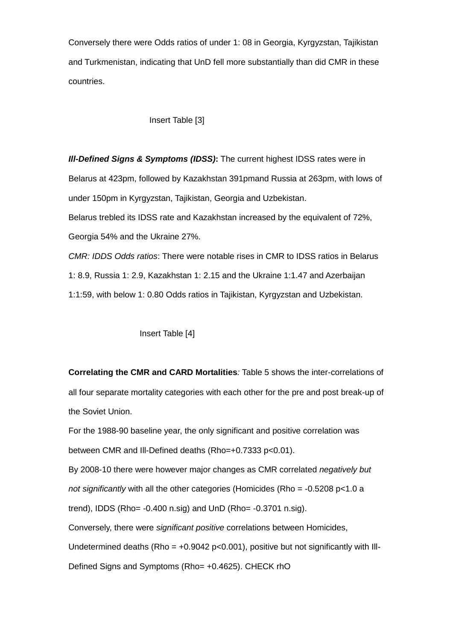Conversely there were Odds ratios of under 1: 08 in Georgia, Kyrgyzstan, Tajikistan and Turkmenistan, indicating that UnD fell more substantially than did CMR in these countries.

## Insert Table [3]

*Ill-Defined Signs & Symptoms (IDSS)***:** The current highest IDSS rates were in Belarus at 423pm, followed by Kazakhstan 391pmand Russia at 263pm, with lows of under 150pm in Kyrgyzstan, Tajikistan, Georgia and Uzbekistan. Belarus trebled its IDSS rate and Kazakhstan increased by the equivalent of 72%,

Georgia 54% and the Ukraine 27%.

*CMR: IDDS Odds ratios*: There were notable rises in CMR to IDSS ratios in Belarus 1: 8.9, Russia 1: 2.9, Kazakhstan 1: 2.15 and the Ukraine 1:1.47 and Azerbaijan 1:1:59, with below 1: 0.80 Odds ratios in Tajikistan, Kyrgyzstan and Uzbekistan.

## Insert Table [4]

**Correlating the CMR and CARD Mortalities***:* Table 5 shows the inter-correlations of all four separate mortality categories with each other for the pre and post break-up of the Soviet Union.

For the 1988-90 baseline year, the only significant and positive correlation was between CMR and Ill-Defined deaths (Rho=+0.7333 p<0.01). By 2008-10 there were however major changes as CMR correlated *negatively but* 

*not significantly* with all the other categories (Homicides (Rho = -0.5208 p<1.0 a

trend), IDDS (Rho= -0.400 n.sig) and UnD (Rho= -0.3701 n.sig).

Conversely, there were *significant positive* correlations between Homicides, Undetermined deaths (Rho =  $+0.9042$  p<0.001), positive but not significantly with III-

Defined Signs and Symptoms (Rho= +0.4625). CHECK rhO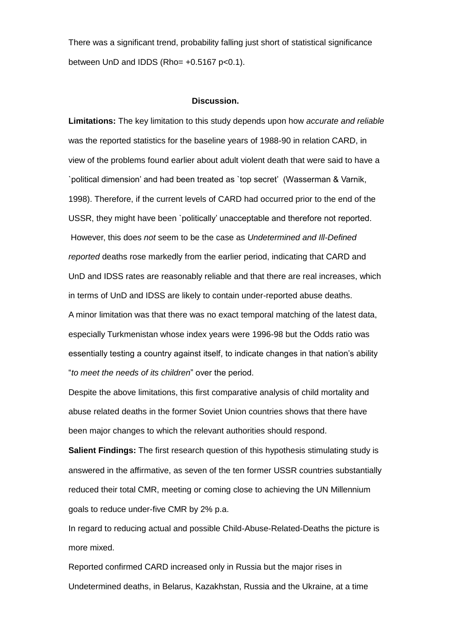There was a significant trend, probability falling just short of statistical significance between UnD and IDDS (Rho=  $+0.5167$  p<0.1).

#### **Discussion.**

**Limitations:** The key limitation to this study depends upon how *accurate and reliable*  was the reported statistics for the baseline years of 1988-90 in relation CARD, in view of the problems found earlier about adult violent death that were said to have a `political dimension' and had been treated as `top secret' (Wasserman & Varnik, 1998). Therefore, if the current levels of CARD had occurred prior to the end of the USSR, they might have been `politically' unacceptable and therefore not reported. However, this does *not* seem to be the case as *Undetermined and Ill-Defined reported* deaths rose markedly from the earlier period, indicating that CARD and UnD and IDSS rates are reasonably reliable and that there are real increases, which in terms of UnD and IDSS are likely to contain under-reported abuse deaths. A minor limitation was that there was no exact temporal matching of the latest data, especially Turkmenistan whose index years were 1996-98 but the Odds ratio was essentially testing a country against itself, to indicate changes in that nation's ability "*to meet the needs of its children*" over the period.

Despite the above limitations, this first comparative analysis of child mortality and abuse related deaths in the former Soviet Union countries shows that there have been major changes to which the relevant authorities should respond.

**Salient Findings:** The first research question of this hypothesis stimulating study is answered in the affirmative, as seven of the ten former USSR countries substantially reduced their total CMR, meeting or coming close to achieving the UN Millennium goals to reduce under-five CMR by 2% p.a.

In regard to reducing actual and possible Child-Abuse-Related-Deaths the picture is more mixed.

Reported confirmed CARD increased only in Russia but the major rises in Undetermined deaths, in Belarus, Kazakhstan, Russia and the Ukraine, at a time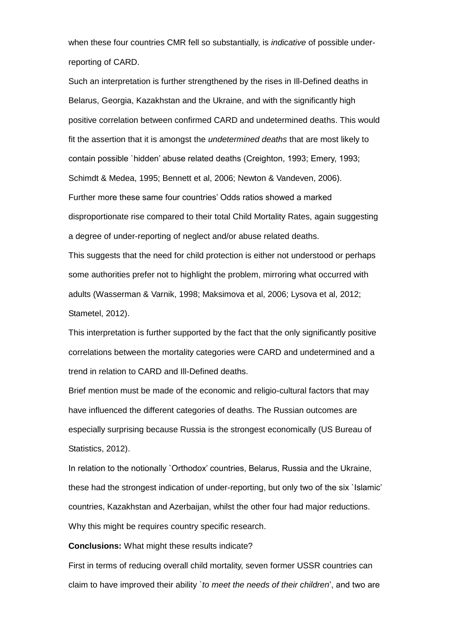when these four countries CMR fell so substantially, is *indicative* of possible underreporting of CARD.

Such an interpretation is further strengthened by the rises in Ill-Defined deaths in Belarus, Georgia, Kazakhstan and the Ukraine, and with the significantly high positive correlation between confirmed CARD and undetermined deaths. This would fit the assertion that it is amongst the *undetermined deaths* that are most likely to contain possible `hidden' abuse related deaths (Creighton, 1993; Emery, 1993; Schimdt & Medea, 1995; Bennett et al, 2006; Newton & Vandeven, 2006). Further more these same four countries' Odds ratios showed a marked disproportionate rise compared to their total Child Mortality Rates, again suggesting a degree of under-reporting of neglect and/or abuse related deaths. This suggests that the need for child protection is either not understood or perhaps some authorities prefer not to highlight the problem, mirroring what occurred with adults (Wasserman & Varnik, 1998; Maksimova et al, 2006; Lysova et al, 2012; Stametel, 2012).

This interpretation is further supported by the fact that the only significantly positive correlations between the mortality categories were CARD and undetermined and a trend in relation to CARD and Ill-Defined deaths.

Brief mention must be made of the economic and religio-cultural factors that may have influenced the different categories of deaths. The Russian outcomes are especially surprising because Russia is the strongest economically (US Bureau of Statistics, 2012).

In relation to the notionally `Orthodox' countries, Belarus, Russia and the Ukraine, these had the strongest indication of under-reporting, but only two of the six `Islamic' countries, Kazakhstan and Azerbaijan, whilst the other four had major reductions. Why this might be requires country specific research.

**Conclusions:** What might these results indicate?

First in terms of reducing overall child mortality, seven former USSR countries can claim to have improved their ability `*to meet the needs of their children*', and two are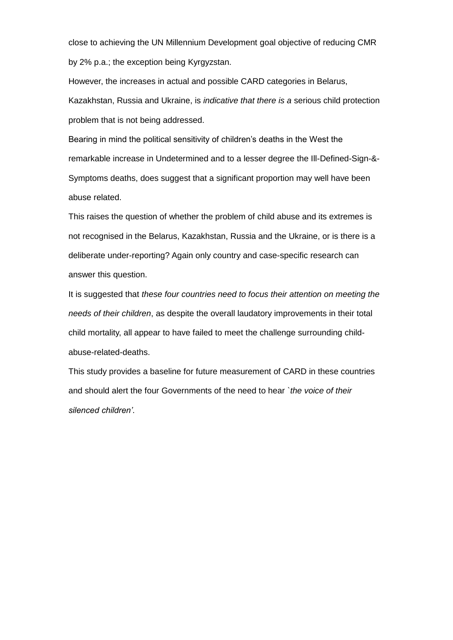close to achieving the UN Millennium Development goal objective of reducing CMR by 2% p.a.; the exception being Kyrgyzstan.

However, the increases in actual and possible CARD categories in Belarus, Kazakhstan, Russia and Ukraine, is *indicative that there is a* serious child protection problem that is not being addressed.

Bearing in mind the political sensitivity of children's deaths in the West the remarkable increase in Undetermined and to a lesser degree the Ill-Defined-Sign-&- Symptoms deaths, does suggest that a significant proportion may well have been abuse related.

This raises the question of whether the problem of child abuse and its extremes is not recognised in the Belarus, Kazakhstan, Russia and the Ukraine, or is there is a deliberate under-reporting? Again only country and case-specific research can answer this question.

It is suggested that *these four countries need to focus their attention on meeting the needs of their children*, as despite the overall laudatory improvements in their total child mortality, all appear to have failed to meet the challenge surrounding childabuse-related-deaths.

This study provides a baseline for future measurement of CARD in these countries and should alert the four Governments of the need to hear *`the voice of their silenced children'*.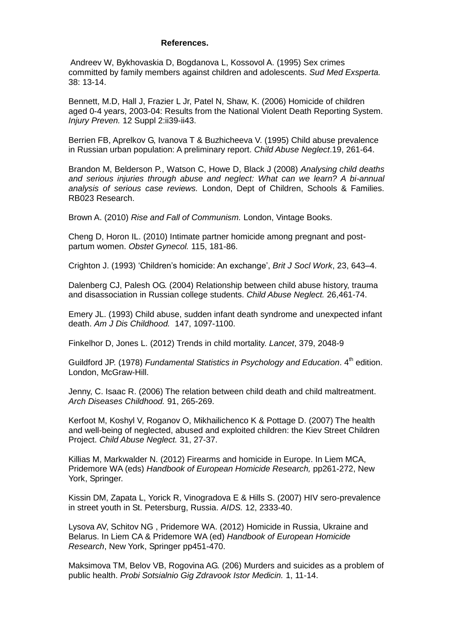### **References.**

Andreev W, Bykhovaskia D, Bogdanova L, Kossovol A. (1995) Sex crimes committed by family members against children and adolescents. *Sud Med Exsperta.* 38: 13-14.

Bennett, M.D, Hall J, Frazier L Jr, Patel N, Shaw, K. (2006) Homicide of children aged 0-4 years, 2003-04: Results from the National Violent Death Reporting System. *Injury Preven.* 12 Suppl 2:ii39-ii43.

Berrien FB, Aprelkov G, Ivanova T & Buzhicheeva V. (1995) Child abuse prevalence in Russian urban population: A preliminary report. *Child Abuse Neglect*.19, 261-64.

Brandon M, Belderson P., Watson C, Howe D, Black J (2008) *Analysing child deaths and serious injuries through abuse and neglect: What can we learn? A bi-annual analysis of serious case reviews.* London, Dept of Children, Schools & Families. RB023 Research.

Brown A. (2010) *Rise and Fall of Communism.* London, Vintage Books.

Cheng D, Horon IL. (2010) Intimate partner homicide among pregnant and postpartum women. *Obstet Gynecol.* 115, 181-86.

Crighton J. (1993) 'Children's homicide: An exchange', *Brit J Socl Work*, 23, 643–4.

Dalenberg CJ, Palesh OG. (2004) Relationship between child abuse history, trauma and disassociation in Russian college students. *Child Abuse Neglect.* 26,461-74.

Emery JL. (1993) Child abuse, sudden infant death syndrome and unexpected infant death. *Am J Dis Childhood.* 147, 1097-1100.

Finkelhor D, Jones L. (2012) Trends in child mortality. *Lancet*, 379, 2048-9

Guildford JP. (1978) *Fundamental Statistics in Psychology and Education*. 4<sup>th</sup> edition. London, McGraw-Hill.

Jenny, C. Isaac R. (2006) The relation between child death and child maltreatment. *Arch Diseases Childhood.* 91, 265-269.

Kerfoot M, Koshyl V, Roganov O, Mikhailichenco K & Pottage D. (2007) The health and well-being of neglected, abused and exploited children: the Kiev Street Children Project. *Child Abuse Neglect.* 31, 27-37.

Killias M, Markwalder N. (2012) Firearms and homicide in Europe. In Liem MCA, Pridemore WA (eds) *Handbook of European Homicide Research,* pp261-272, New York, Springer.

Kissin DM, Zapata L, Yorick R, Vinogradova E & Hills S. (2007) HIV sero-prevalence in street youth in St. Petersburg, Russia. *AIDS.* 12, 2333-40.

Lysova AV, Schitov NG , Pridemore WA. (2012) Homicide in Russia, Ukraine and Belarus. In Liem CA & Pridemore WA (ed) *Handbook of European Homicide Research*, New York, Springer pp451-470.

Maksimova TM, Belov VB, Rogovina AG. (206) Murders and suicides as a problem of public health. *Probi Sotsialnio Gig Zdravook Istor Medicin.* 1, 11-14.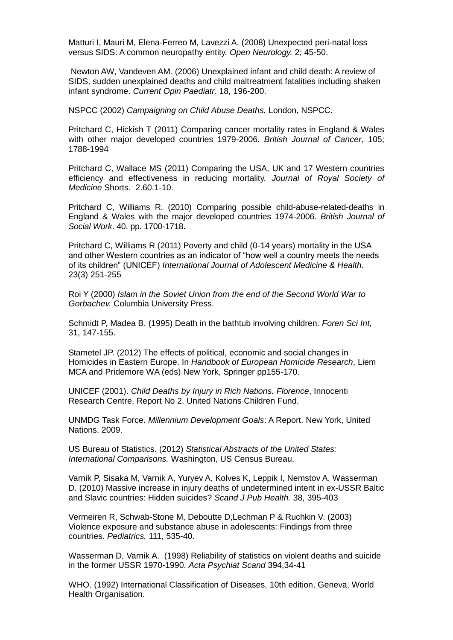Matturi I, Mauri M, Elena-Ferreo M, Lavezzi A. (2008) Unexpected peri-natal loss versus SIDS: A common neuropathy entity. *Open Neurology.* 2; 45-50.

Newton AW, Vandeven AM. (2006) Unexplained infant and child death: A review of SIDS, sudden unexplained deaths and child maltreatment fatalities including shaken infant syndrome. *Current Opin Paediatr.* 18, 196-200.

NSPCC (2002) *Campaigning on Child Abuse Deaths.* London, NSPCC.

Pritchard C, Hickish T (2011) Comparing cancer mortality rates in England & Wales with other major developed countries 1979-2006. *British Journal of Cancer*, 105; 1788-1994

Pritchard C, Wallace MS (2011) Comparing the USA, UK and 17 Western countries efficiency and effectiveness in reducing mortality. *Journal of Royal Society of Medicine* Shorts. 2.60.1-10.

Pritchard C, Williams R. (2010) Comparing possible child-abuse-related-deaths in England & Wales with the major developed countries 1974-2006. *British Journal of Social Work*. 40. pp. 1700-1718.

Pritchard C, Williams R (2011) Poverty and child (0-14 years) mortality in the USA and other Western countries as an indicator of "how well a country meets the needs of its children" (UNICEF) *International Journal of Adolescent Medicine & Health.* 23(3) 251-255

Roi Y (2000) *Islam in the Soviet Union from the end of the Second World War to Gorbachev.* Columbia University Press.

Schmidt P, Madea B. (1995) Death in the bathtub involving children. *Foren Sci Int,* 31, 147-155.

Stametel JP. (2012) The effects of political, economic and social changes in Homicides in Eastern Europe. In *Handbook of European Homicide Research*, Liem MCA and Pridemore WA (eds) New York, Springer pp155-170.

UNICEF (2001). *Child Deaths by Injury in Rich Nations. Florence*, Innocenti Research Centre, Report No 2. United Nations Children Fund.

UNMDG Task Force. *Millennium Development Goals*: A Report. New York, United Nations. 2009.

US Bureau of Statistics. (2012) *Statistical Abstracts of the United States: International Comparisons.* Washington, US Census Bureau.

Varnik P, Sisaka M, Varnik A, Yuryev A, Kolves K, Leppik I, Nemstov A, Wasserman D. (2010) Massive increase in injury deaths of undetermined intent in ex-USSR Baltic and Slavic countries: Hidden suicides? *Scand J Pub Health.* 38, 395-403

Vermeiren R, Schwab-Stone M, Deboutte D,Lechman P & Ruchkin V. (2003) Violence exposure and substance abuse in adolescents: Findings from three countries. *Pediatrics.* 111, 535-40.

Wasserman D, Varnik A. (1998) Reliability of statistics on violent deaths and suicide in the former USSR 1970-1990. *Acta Psychiat Scand* 394,34-41

WHO. (1992) International Classification of Diseases, 10th edition, Geneva, World Health Organisation.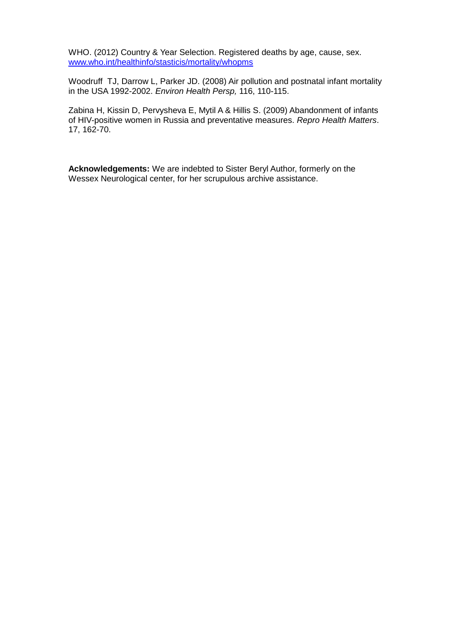WHO. (2012) Country & Year Selection. Registered deaths by age, cause, sex. www.who.int/healthinfo/stasticis/mortality/whopms

Woodruff TJ, Darrow L, Parker JD. (2008) Air pollution and postnatal infant mortality in the USA 1992-2002. *Environ Health Persp,* 116, 110-115.

Zabina H, Kissin D, Pervysheva E, Mytil A & Hillis S. (2009) Abandonment of infants of HIV-positive women in Russia and preventative measures. *Repro Health Matters*. 17, 162-70.

**Acknowledgements:** We are indebted to Sister Beryl Author, formerly on the Wessex Neurological center, for her scrupulous archive assistance.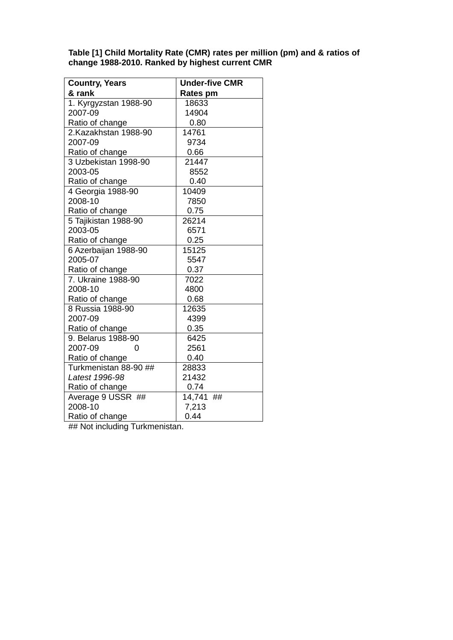**Table [1] Child Mortality Rate (CMR) rates per million (pm) and & ratios of change 1988-2010. Ranked by highest current CMR**

| <b>Country, Years</b> | <b>Under-five CMR</b> |
|-----------------------|-----------------------|
| & rank                | <b>Rates pm</b>       |
| 1. Kyrgyzstan 1988-90 | 18633                 |
| 2007-09               | 14904                 |
| Ratio of change       | 0.80                  |
| 2.Kazakhstan 1988-90  | 14761                 |
| 2007-09               | 9734                  |
| Ratio of change       | 0.66                  |
| 3 Uzbekistan 1998-90  | 21447                 |
| 2003-05               | 8552                  |
| Ratio of change       | 0.40                  |
| 4 Georgia 1988-90     | 10409                 |
| 2008-10               | 7850                  |
| Ratio of change       | 0.75                  |
| 5 Tajikistan 1988-90  | 26214                 |
| 2003-05               | 6571                  |
| Ratio of change       | 0.25                  |
| 6 Azerbaijan 1988-90  | 15125                 |
| 2005-07               | 5547                  |
| Ratio of change       | 0.37                  |
| 7. Ukraine 1988-90    | 7022                  |
| 2008-10               | 4800                  |
| Ratio of change       | 0.68                  |
| 8 Russia 1988-90      | 12635                 |
| 2007-09               | 4399                  |
| Ratio of change       | 0.35                  |
| 9. Belarus 1988-90    | 6425                  |
| 2007-09<br>0          | 2561                  |
| Ratio of change       | 0.40                  |
| Turkmenistan 88-90 ## | 28833                 |
| Latest 1996-98        | 21432                 |
| Ratio of change       | 0.74                  |
| Average 9 USSR ##     | 14,741<br>##          |
| 2008-10               | 7,213                 |
| Ratio of change       | 0.44                  |

## Not including Turkmenistan.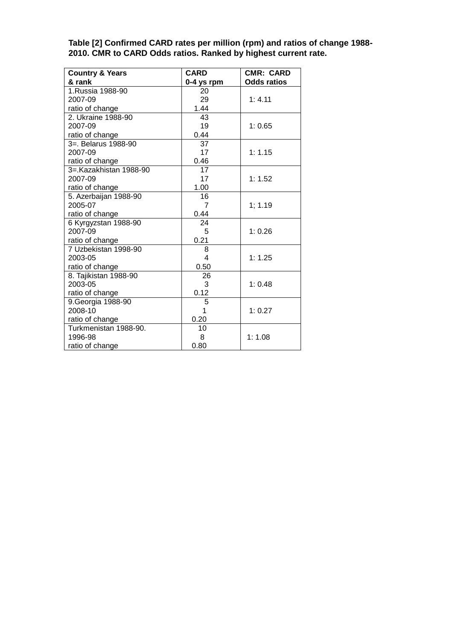**Table [2] Confirmed CARD rates per million (rpm) and ratios of change 1988- 2010. CMR to CARD Odds ratios. Ranked by highest current rate.**

| <b>Country &amp; Years</b> | <b>CARD</b>     | <b>CMR: CARD</b>   |
|----------------------------|-----------------|--------------------|
| & rank                     | $0-4$ ys rpm    | <b>Odds ratios</b> |
| 1.Russia 1988-90           | 20              |                    |
| 2007-09                    | 29              | 1: 4.11            |
| ratio of change            | 1.44            |                    |
| 2. Ukraine 1988-90         | 43              |                    |
| 2007-09                    | 19              | 1:0.65             |
| ratio of change            | 0.44            |                    |
| 3=. Belarus 1988-90        | $\overline{37}$ |                    |
| 2007-09                    | 17              | 1:1.15             |
| ratio of change            | 0.46            |                    |
| 3=.Kazakhistan 1988-90     | 17              |                    |
| 2007-09                    | 17              | 1:1.52             |
| ratio of change            | 1.00            |                    |
| 5. Azerbaijan 1988-90      | 16              |                    |
| 2005-07                    | $\overline{7}$  | 1; 1.19            |
| ratio of change            | 0.44            |                    |
| 6 Kyrgyzstan 1988-90       | 24              |                    |
| 2007-09                    | 5               | 1:0.26             |
| ratio of change            | 0.21            |                    |
| 7 Uzbekistan 1998-90       | 8               |                    |
| 2003-05                    | $\overline{4}$  | 1:1.25             |
| ratio of change            | 0.50            |                    |
| 8. Tajikistan 1988-90      | 26              |                    |
| 2003-05                    | 3               | 1:0.48             |
| ratio of change            | 0.12            |                    |
| 9. Georgia 1988-90         | 5               |                    |
| 2008-10                    | 1               | 1:0.27             |
| ratio of change            | 0.20            |                    |
| Turkmenistan 1988-90.      | 10              |                    |
| 1996-98                    | 8               | 1:1.08             |
| ratio of change            | 0.80            |                    |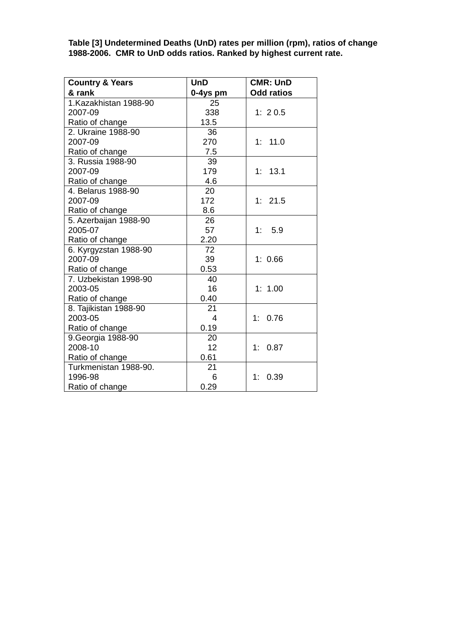**Table [3] Undetermined Deaths (UnD) rates per million (rpm), ratios of change 1988-2006. CMR to UnD odds ratios. Ranked by highest current rate.**

| <b>Country &amp; Years</b> | <b>UnD</b>     | <b>CMR: UnD</b>   |
|----------------------------|----------------|-------------------|
| & rank                     | 0-4ys pm       | <b>Odd ratios</b> |
| 1.Kazakhistan 1988-90      | 25             |                   |
| 2007-09                    | 338            | 1: 20.5           |
| Ratio of change            | 13.5           |                   |
| 2. Ukraine 1988-90         | 36             |                   |
| 2007-09                    | 270            | 1: 11.0           |
| Ratio of change            | 7.5            |                   |
| 3. Russia 1988-90          | 39             |                   |
| 2007-09                    | 179            | 1: 13.1           |
| Ratio of change            | 4.6            |                   |
| 4. Belarus 1988-90         | 20             |                   |
| 2007-09                    | 172            | 1:21.5            |
| Ratio of change            | 8.6            |                   |
| 5. Azerbaijan 1988-90      | 26             |                   |
| 2005-07                    | 57             | 5.9<br>1:         |
| Ratio of change            | 2.20           |                   |
| 6. Kyrgyzstan 1988-90      | 72             |                   |
| 2007-09                    | 39             | 1:0.66            |
| Ratio of change            | 0.53           |                   |
| 7. Uzbekistan 1998-90      | 40             |                   |
| 2003-05                    | 16             | 1: 1.00           |
| Ratio of change            | 0.40           |                   |
| 8. Tajikistan 1988-90      | 21             |                   |
| 2003-05                    | $\overline{4}$ | 1:<br>0.76        |
| Ratio of change            | 0.19           |                   |
| 9. Georgia 1988-90         | 20             |                   |
| 2008-10                    | 12             | 1:<br>0.87        |
| Ratio of change            | 0.61           |                   |
| Turkmenistan 1988-90.      | 21             |                   |
| 1996-98                    | 6              | 0.39<br>1:        |
| Ratio of change            | 0.29           |                   |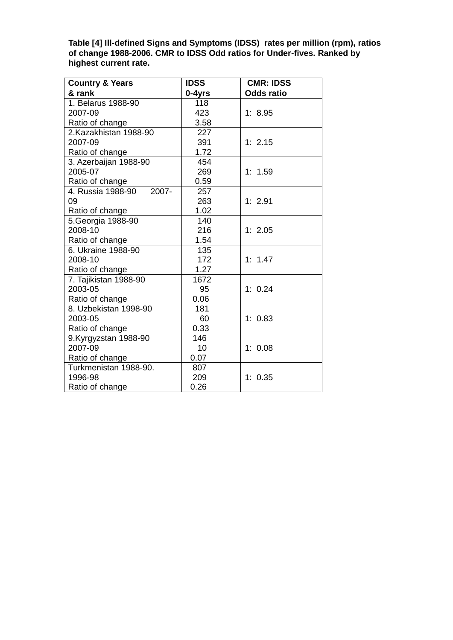**Table [4] Ill-defined Signs and Symptoms (IDSS) rates per million (rpm), ratios of change 1988-2006. CMR to IDSS Odd ratios for Under-fives. Ranked by highest current rate.**

| <b>Country &amp; Years</b> | <b>IDSS</b> | <b>CMR: IDSS</b>  |  |
|----------------------------|-------------|-------------------|--|
| & rank                     | 0-4yrs      | <b>Odds ratio</b> |  |
| 1. Belarus 1988-90         | 118         |                   |  |
| 2007-09                    | 423         | 1:8.95            |  |
| Ratio of change            | 3.58        |                   |  |
| 2.Kazakhistan 1988-90      | 227         |                   |  |
| 2007-09                    | 391         | 1: 2.15           |  |
| Ratio of change            | 1.72        |                   |  |
| 3. Azerbaijan 1988-90      | 454         |                   |  |
| 2005-07                    | 269         | 1: 1.59           |  |
| Ratio of change            | 0.59        |                   |  |
| 2007-<br>4. Russia 1988-90 | 257         |                   |  |
| 09                         | 263         | 1: 2.91           |  |
| Ratio of change            | 1.02        |                   |  |
| 5. Georgia 1988-90         | 140         |                   |  |
| 2008-10                    | 216         | 1:2.05            |  |
| Ratio of change            | 1.54        |                   |  |
| 6. Ukraine 1988-90         | 135         |                   |  |
| 2008-10                    | 172         | 1: 1.47           |  |
| Ratio of change            | 1.27        |                   |  |
| 7. Tajikistan 1988-90      | 1672        |                   |  |
| 2003-05                    | 95          | 1: 0.24           |  |
| Ratio of change            | 0.06        |                   |  |
| 8. Uzbekistan 1998-90      | 181         |                   |  |
| 2003-05                    | 60          | 1:0.83            |  |
| Ratio of change            | 0.33        |                   |  |
| 9.Kyrgyzstan 1988-90       | 146         |                   |  |
| 2007-09                    | 10          | 1: 0.08           |  |
| Ratio of change            | 0.07        |                   |  |
| Turkmenistan 1988-90.      | 807         |                   |  |
| 1996-98                    | 209         | 1: 0.35           |  |
| Ratio of change            | 0.26        |                   |  |